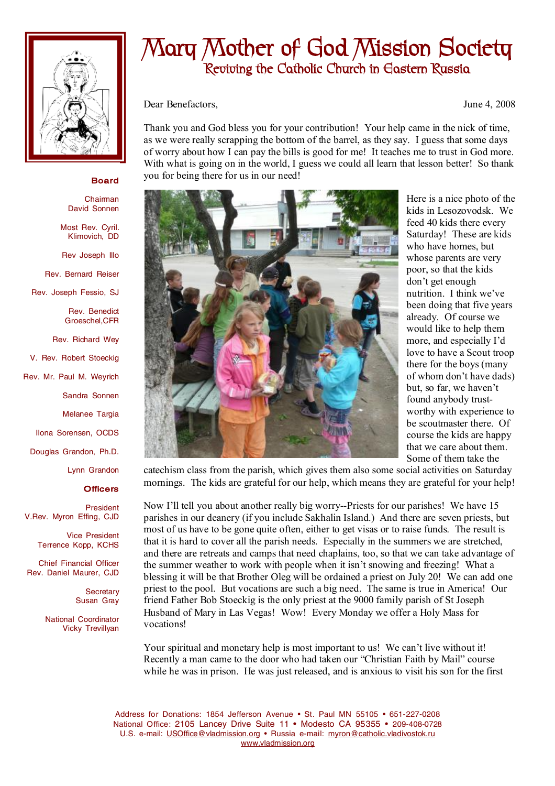

## **Mary Mother of God Mission Society Reviving the Catholic Church in Eastern Russia**

Dear Benefactors, June 4, 2008

Thank you and God bless you for your contribution! Your help came in the nick of time, as we were really scrapping the bottom of the barrel, as they say. I guess that some days of worry about how I can pay the bills is good for me! It teaches me to trust in God more. With what is going on in the world, I guess we could all learn that lesson better! So thank you for being there for us in our need!

## **Board**

**Chairman** David Sonnen

Most Rev. Cyril. Klimovich, DD

Rev Joseph Illo

Rev. Bernard Reiser

Rev. Joseph Fessio, SJ

Rev. Benedict Groeschel,CFR

Rev. Richard Wey

V. Rev. Robert Stoeckig

Rev. Mr. Paul M. Weyrich

Sandra Sonnen

Melanee Targia

Ilona Sorensen, OCDS

Douglas Grandon, Ph.D.

Lynn Grandon

## **Officers**

President V.Rev. Myron Effing, CJD

> Vice President Terrence Kopp, KCHS

Chief Financial Officer Rev. Daniel Maurer, CJD

> **Secretary** Susan Gray

National Coordinator Vicky Trevillyan



Here is a nice photo of the kids in Lesozovodsk. We feed 40 kids there every Saturday! These are kids who have homes, but whose parents are very poor, so that the kids don't get enough nutrition. I think we've been doing that five years already. Of course we would like to help them more, and especially I'd love to have a Scout troop there for the boys (many of whom don't have dads) but, so far, we haven't found anybody trustworthy with experience to be scoutmaster there. Of course the kids are happy that we care about them. Some of them take the

catechism class from the parish, which gives them also some social activities on Saturday mornings. The kids are grateful for our help, which means they are grateful for your help!

Now I'll tell you about another really big worry--Priests for our parishes! We have 15 parishes in our deanery (if you include Sakhalin Island.) And there are seven priests, but most of us have to be gone quite often, either to get visas or to raise funds. The result is that it is hard to cover all the parish needs. Especially in the summers we are stretched, and there are retreats and camps that need chaplains, too, so that we can take advantage of the summer weather to work with people when it isn't snowing and freezing! What a blessing it will be that Brother Oleg will be ordained a priest on July 20! We can add one priest to the pool. But vocations are such a big need. The same is true in America! Our friend Father Bob Stoeckig is the only priest at the 9000 family parish of St Joseph Husband of Mary in Las Vegas! Wow! Every Monday we offer a Holy Mass for vocations!

Your spiritual and monetary help is most important to us! We can't live without it! Recently a man came to the door who had taken our "Christian Faith by Mail" course while he was in prison. He was just released, and is anxious to visit his son for the first

Address for Donations: 1854 Jefferson Avenue • St. Paul MN 55105 • 651-227-0208 National Office: 2105 Lancey Drive Suite 11 • Modesto CA 95355 • 209-408-0728 U.S. e-mail: [USOffice@vladmission.org](mailto:USOffice@vladmission.org) • Russia e-mail: [myron@catholic.vladivostok.ru](mailto:myron@catholic.vladivostok.ru) [www.vladmission.org](http://www.vladmission.org)